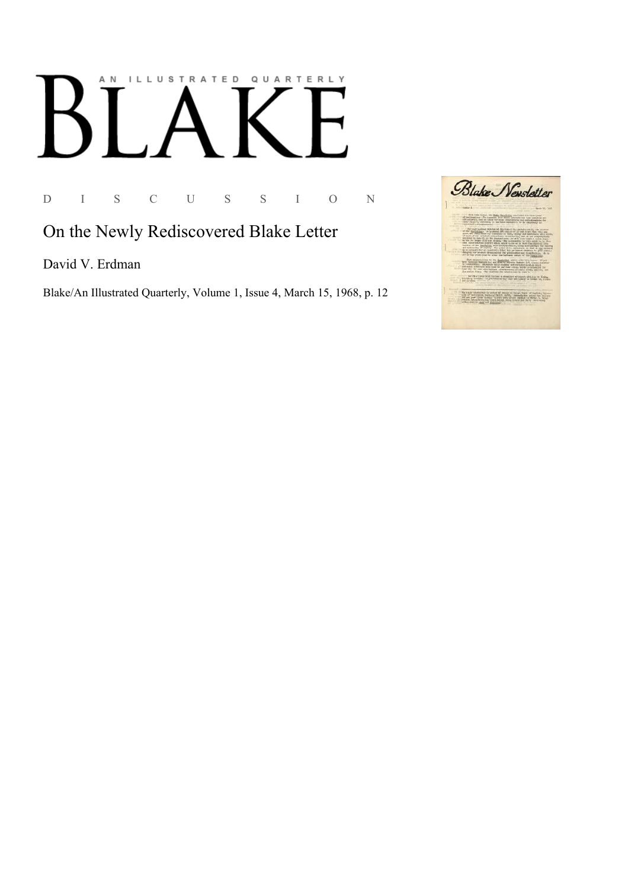## AN ILLUSTRATED QUARTERLY

D I S C U S S I O N

## On the Newly Rediscovered Blake Letter

David V. Erdman

Blake/An Illustrated Quarterly, Volume 1, Issue 4, March 15, 1968, p. 12